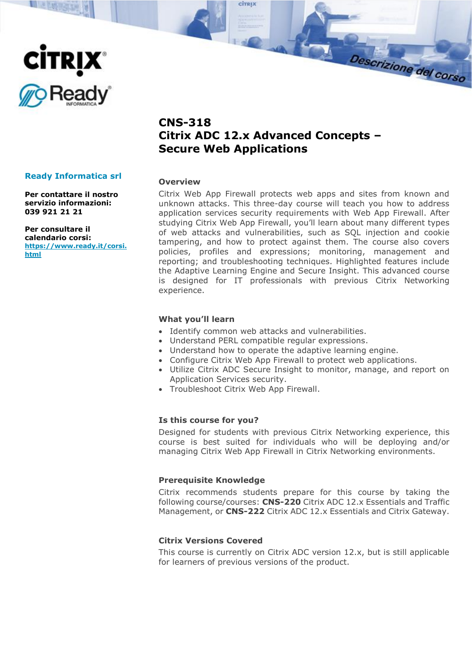

**NEW SAF** 

# **CNS-318 Citrix ADC 12.x Advanced Concepts – Secure Web Applications**

ciralx

#### **Overview**

Citrix Web App Firewall protects web apps and sites from known and unknown attacks. This three-day course will teach you how to address application services security requirements with Web App Firewall. After studying Citrix Web App Firewall, you'll learn about many different types of web attacks and vulnerabilities, such as SQL injection and cookie tampering, and how to protect against them. The course also covers policies, profiles and expressions; monitoring, management and reporting; and troubleshooting techniques. Highlighted features include the Adaptive Learning Engine and Secure Insight. This advanced course is designed for IT professionals with previous Citrix Networking experience.

Descrizione del corso

#### **What you'll learn**

- Identify common web attacks and vulnerabilities.
- Understand PERL compatible regular expressions.
- Understand how to operate the adaptive learning engine.
- Configure Citrix Web App Firewall to protect web applications.
- Utilize Citrix ADC Secure Insight to monitor, manage, and report on Application Services security.
- Troubleshoot Citrix Web App Firewall.

## **Is this course for you?**

Designed for students with previous Citrix Networking experience, this course is best suited for individuals who will be deploying and/or managing Citrix Web App Firewall in Citrix Networking environments.

## **Prerequisite Knowledge**

Citrix recommends students prepare for this course by taking the following course/courses: **CNS-220** Citrix ADC 12.x Essentials and Traffic Management, or **CNS-222** Citrix ADC 12.x Essentials and Citrix Gateway.

# **Citrix Versions Covered**

This course is currently on Citrix ADC version 12.x, but is still applicable for learners of previous versions of the product.

## **Ready Informatica srl**

**Per contattare il nostro servizio informazioni: 039 921 21 21**

**Per consultare il calendario corsi: [https://www.ready.it/corsi.](https://www.ready.it/corsi.html) [html](https://www.ready.it/corsi.html)**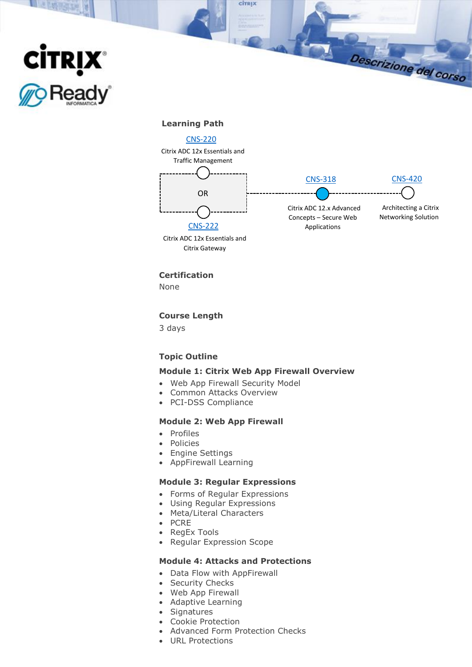

**ELECTRIC** 

#### **Learning Path**



ciraix



Descrizione del corso

**Certification**

Citrix Gateway

None

#### **Course Length**

3 days

## **Topic Outline**

## **Module 1: Citrix Web App Firewall Overview**

- Web App Firewall Security Model
- Common Attacks Overview
- PCI-DSS Compliance

# **Module 2: Web App Firewall**

- Profiles
- Policies
- Engine Settings
- AppFirewall Learning

# **Module 3: Regular Expressions**

- Forms of Regular Expressions
- Using Regular Expressions
- Meta/Literal Characters
- PCRE
- RegEx Tools
- Regular Expression Scope

#### **Module 4: Attacks and Protections**

- Data Flow with AppFirewall
- Security Checks
- Web App Firewall
- Adaptive Learning
- Signatures
- Cookie Protection
- Advanced Form Protection Checks
- URL Protections